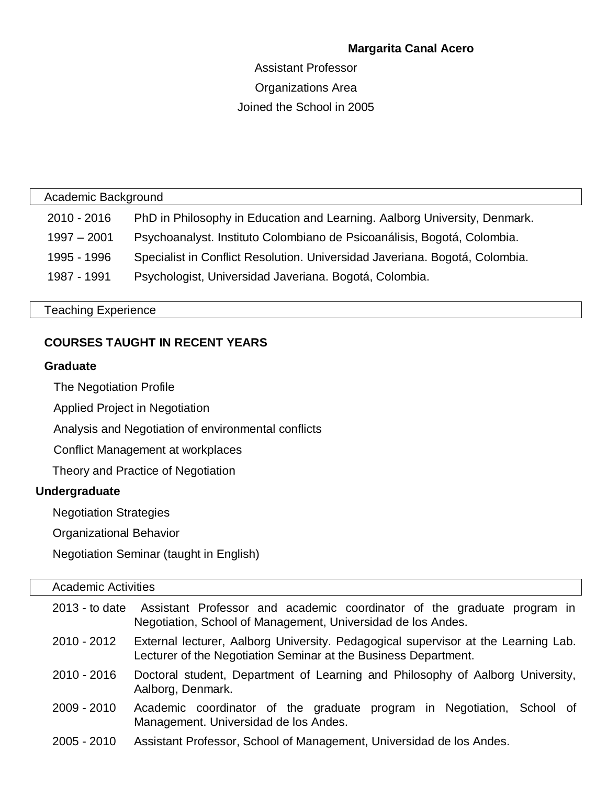# **Margarita Canal Acero**

# Assistant Professor Organizations Area Joined the School in 2005

Academic Background

| 2010 - 2016 | PhD in Philosophy in Education and Learning. Aalborg University, Denmark. |
|-------------|---------------------------------------------------------------------------|
|-------------|---------------------------------------------------------------------------|

1997 – 2001 Psychoanalyst. Instituto Colombiano de Psicoanálisis, Bogotá, Colombia.

1995 - 1996 Specialist in Conflict Resolution. Universidad Javeriana. Bogotá, Colombia.

1987 - 1991 Psychologist, Universidad Javeriana. Bogotá, Colombia.

Teaching Experience

# **COURSES TAUGHT IN RECENT YEARS**

# **Graduate**

The Negotiation Profile

Applied Project in Negotiation

Analysis and Negotiation of environmental conflicts

Conflict Management at workplaces

Theory and Practice of Negotiation

# **Undergraduate**

Negotiation Strategies

Organizational Behavior

Negotiation Seminar (taught in English)

### Academic Activities

| $2013 -$ to date | Assistant Professor and academic coordinator of the graduate program in<br>Negotiation, School of Management, Universidad de los Andes.               |
|------------------|-------------------------------------------------------------------------------------------------------------------------------------------------------|
| 2010 - 2012      | External lecturer, Aalborg University. Pedagogical supervisor at the Learning Lab.<br>Lecturer of the Negotiation Seminar at the Business Department. |
| 2010 - 2016      | Doctoral student, Department of Learning and Philosophy of Aalborg University,<br>Aalborg, Denmark.                                                   |
| $2009 - 2010$    | Academic coordinator of the graduate program in Negotiation, School of<br>Management. Universidad de los Andes.                                       |
| 2005 - 2010      | Assistant Professor, School of Management, Universidad de los Andes.                                                                                  |

2005 - 2010 Assistant Professor, School of Management, Universidad de los Andes.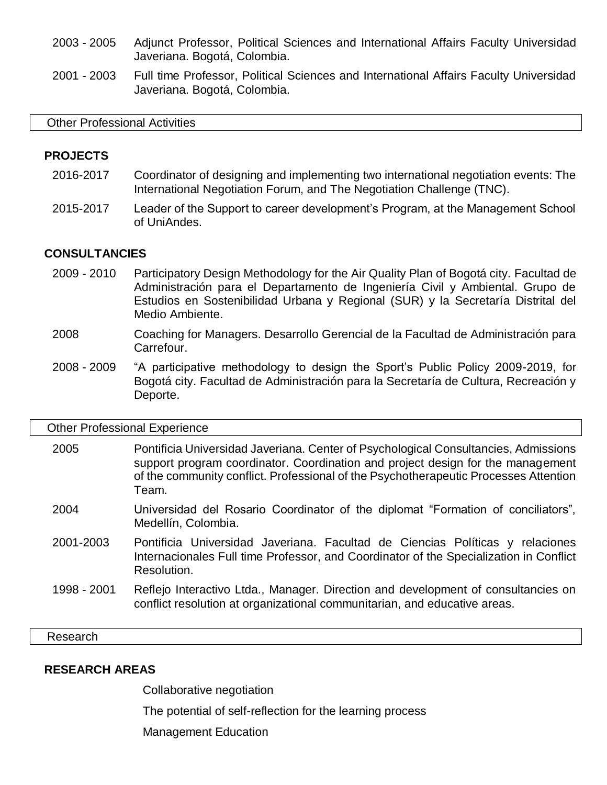- 2003 2005 Adjunct Professor, Political Sciences and International Affairs Faculty Universidad Javeriana. Bogotá, Colombia.
- 2001 2003 Full time Professor, Political Sciences and International Affairs Faculty Universidad Javeriana. Bogotá, Colombia.

#### Other Professional Activities

### **PROJECTS**

- 2016-2017 Coordinator of designing and implementing two international negotiation events: The International Negotiation Forum, and The Negotiation Challenge (TNC).
- 2015-2017 Leader of the Support to career development's Program, at the Management School of UniAndes.

### **CONSULTANCIES**

- 2009 2010 Participatory Design Methodology for the Air Quality Plan of Bogotá city. Facultad de Administración para el Departamento de Ingeniería Civil y Ambiental. Grupo de Estudios en Sostenibilidad Urbana y Regional (SUR) y la Secretaría Distrital del Medio Ambiente.
- 2008 Coaching for Managers. Desarrollo Gerencial de la Facultad de Administración para Carrefour.
- 2008 2009 "A participative methodology to design the Sport's Public Policy 2009-2019, for Bogotá city. Facultad de Administración para la Secretaría de Cultura, Recreación y Deporte.

#### Other Professional Experience

| 2005 | Pontificia Universidad Javeriana. Center of Psychological Consultancies, Admissions  |
|------|--------------------------------------------------------------------------------------|
|      | support program coordinator. Coordination and project design for the management      |
|      | of the community conflict. Professional of the Psychotherapeutic Processes Attention |
|      | $\tau$ eam.                                                                          |

- 2004 Universidad del Rosario Coordinator of the diplomat "Formation of conciliators", Medellín, Colombia.
- 2001-2003 Pontificia Universidad Javeriana. Facultad de Ciencias Políticas y relaciones Internacionales Full time Professor, and Coordinator of the Specialization in Conflict Resolution.
- 1998 2001 Reflejo Interactivo Ltda., Manager. Direction and development of consultancies on conflict resolution at organizational communitarian, and educative areas.

Research

### **RESEARCH AREAS**

Collaborative negotiation

The potential of self-reflection for the learning process

Management Education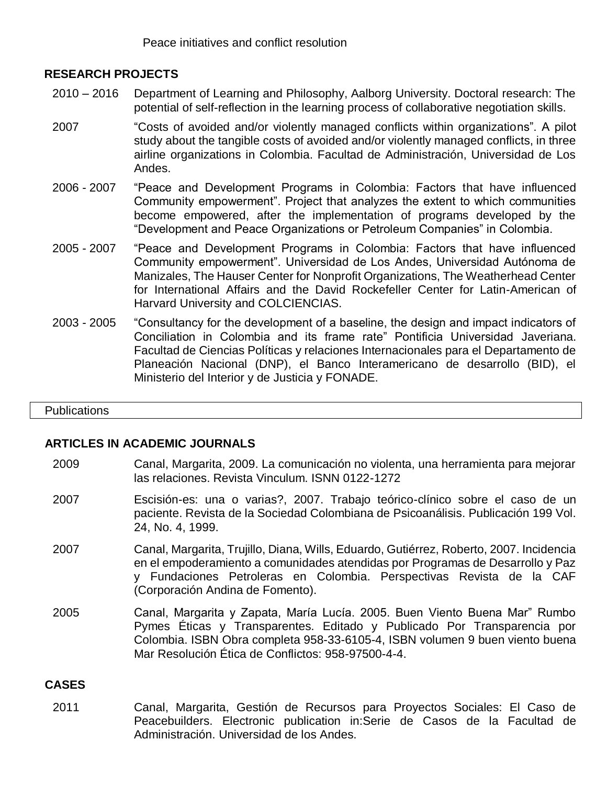Peace initiatives and conflict resolution

# **RESEARCH PROJECTS**

- 2010 2016 Department of Learning and Philosophy, Aalborg University. Doctoral research: The potential of self-reflection in the learning process of collaborative negotiation skills.
- 2007 "Costs of avoided and/or violently managed conflicts within organizations". A pilot study about the tangible costs of avoided and/or violently managed conflicts, in three airline organizations in Colombia. Facultad de Administración, Universidad de Los Andes.
- 2006 2007 "Peace and Development Programs in Colombia: Factors that have influenced Community empowerment". Project that analyzes the extent to which communities become empowered, after the implementation of programs developed by the "Development and Peace Organizations or Petroleum Companies" in Colombia.
- 2005 2007 "Peace and Development Programs in Colombia: Factors that have influenced Community empowerment". Universidad de Los Andes, Universidad Autónoma de Manizales, The Hauser Center for Nonprofit Organizations, The Weatherhead Center for International Affairs and the David Rockefeller Center for Latin-American of Harvard University and COLCIENCIAS.
- 2003 2005 "Consultancy for the development of a baseline, the design and impact indicators of Conciliation in Colombia and its frame rate" Pontificia Universidad Javeriana. Facultad de Ciencias Políticas y relaciones Internacionales para el Departamento de Planeación Nacional (DNP), el Banco Interamericano de desarrollo (BID), el Ministerio del Interior y de Justicia y FONADE.

#### **Publications**

### **ARTICLES IN ACADEMIC JOURNALS**

- 2009 Canal, Margarita, 2009. La comunicación no violenta, una herramienta para mejorar las relaciones. Revista Vinculum. ISNN 0122-1272
- 2007 Escisión-es: una o varias?, 2007. Trabajo teórico-clínico sobre el caso de un paciente. Revista de la Sociedad Colombiana de Psicoanálisis. Publicación 199 Vol. 24, No. 4, 1999.
- 2007 Canal, Margarita, Trujillo, Diana, Wills, Eduardo, Gutiérrez, Roberto, 2007. Incidencia en el empoderamiento a comunidades atendidas por Programas de Desarrollo y Paz y Fundaciones Petroleras en Colombia. Perspectivas Revista de la CAF (Corporación Andina de Fomento).
- 2005 Canal, Margarita y Zapata, María Lucía. 2005. Buen Viento Buena Mar" Rumbo Pymes Éticas y Transparentes. Editado y Publicado Por Transparencia por Colombia. ISBN Obra completa 958-33-6105-4, ISBN volumen 9 buen viento buena Mar Resolución Ética de Conflictos: 958-97500-4-4.

### **CASES**

2011 Canal, Margarita, Gestión de Recursos para Proyectos Sociales: El Caso de Peacebuilders. Electronic publication in:Serie de Casos de la Facultad de Administración. Universidad de los Andes.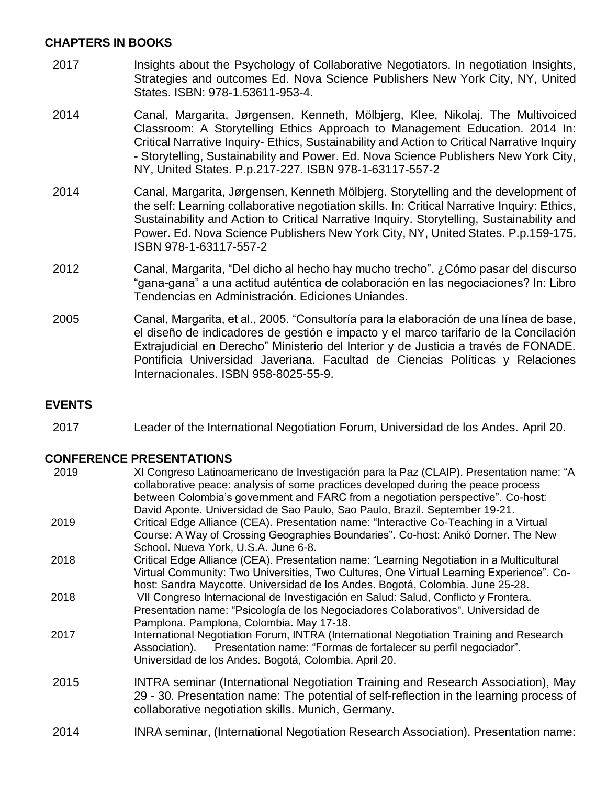# **CHAPTERS IN BOOKS**

- 2017 Insights about the Psychology of Collaborative Negotiators. In negotiation Insights, Strategies and outcomes Ed. Nova Science Publishers New York City, NY, United States. ISBN: 978-1.53611-953-4.
- 2014 Canal, Margarita, Jørgensen, Kenneth, Mölbjerg, Klee, Nikolaj. The Multivoiced Classroom: A Storytelling Ethics Approach to Management Education. 2014 In: Critical Narrative Inquiry- Ethics, Sustainability and Action to Critical Narrative Inquiry - Storytelling, Sustainability and Power. Ed. Nova Science Publishers New York City, NY, United States. P.p.217-227. ISBN 978-1-63117-557-2
- 2014 Canal, Margarita, Jørgensen, Kenneth Mölbjerg. Storytelling and the development of the self: Learning collaborative negotiation skills. In: Critical Narrative Inquiry: Ethics, Sustainability and Action to Critical Narrative Inquiry. Storytelling, Sustainability and Power. Ed. Nova Science Publishers New York City, NY, United States. P.p.159-175. ISBN 978-1-63117-557-2
- 2012 Canal, Margarita, "Del dicho al hecho hay mucho trecho". ¿Cómo pasar del discurso "gana-gana" a una actitud auténtica de colaboración en las negociaciones? In: Libro Tendencias en Administración. Ediciones Uniandes.
- 2005 Canal, Margarita, et al., 2005. "Consultoría para la elaboración de una línea de base, el diseño de indicadores de gestión e impacto y el marco tarifario de la Concilación Extrajudicial en Derecho" Ministerio del Interior y de Justicia a través de FONADE. Pontificia Universidad Javeriana. Facultad de Ciencias Políticas y Relaciones Internacionales. ISBN 958-8025-55-9.

# **EVENTS**

2017 Leader of the International Negotiation Forum, Universidad de los Andes. April 20.

# **CONFERENCE PRESENTATIONS**

| 2019 | XI Congreso Latinoamericano de Investigación para la Paz (CLAIP). Presentation name: "A<br>collaborative peace: analysis of some practices developed during the peace process<br>between Colombia's government and FARC from a negotiation perspective". Co-host:<br>David Aponte. Universidad de Sao Paulo, Sao Paulo, Brazil. September 19-21. |
|------|--------------------------------------------------------------------------------------------------------------------------------------------------------------------------------------------------------------------------------------------------------------------------------------------------------------------------------------------------|
| 2019 | Critical Edge Alliance (CEA). Presentation name: "Interactive Co-Teaching in a Virtual<br>Course: A Way of Crossing Geographies Boundaries". Co-host: Anikó Dorner. The New<br>School. Nueva York, U.S.A. June 6-8.                                                                                                                              |
| 2018 | Critical Edge Alliance (CEA). Presentation name: "Learning Negotiation in a Multicultural<br>Virtual Community: Two Universities, Two Cultures, One Virtual Learning Experience". Co-<br>host: Sandra Maycotte. Universidad de los Andes. Bogotá, Colombia. June 25-28.                                                                          |
| 2018 | VII Congreso Internacional de Investigación en Salud: Salud, Conflicto y Frontera.<br>Presentation name: "Psicología de los Negociadores Colaborativos". Universidad de<br>Pamplona. Pamplona, Colombia. May 17-18.                                                                                                                              |
| 2017 | International Negotiation Forum, INTRA (International Negotiation Training and Research<br>Presentation name: "Formas de fortalecer su perfil negociador".<br>Association).<br>Universidad de los Andes. Bogotá, Colombia. April 20.                                                                                                             |
| 2015 | INTRA seminar (International Negotiation Training and Research Association), May<br>29 - 30. Presentation name: The potential of self-reflection in the learning process of<br>collaborative negotiation skills. Munich, Germany.                                                                                                                |
| 2014 | INRA seminar, (International Negotiation Research Association). Presentation name:                                                                                                                                                                                                                                                               |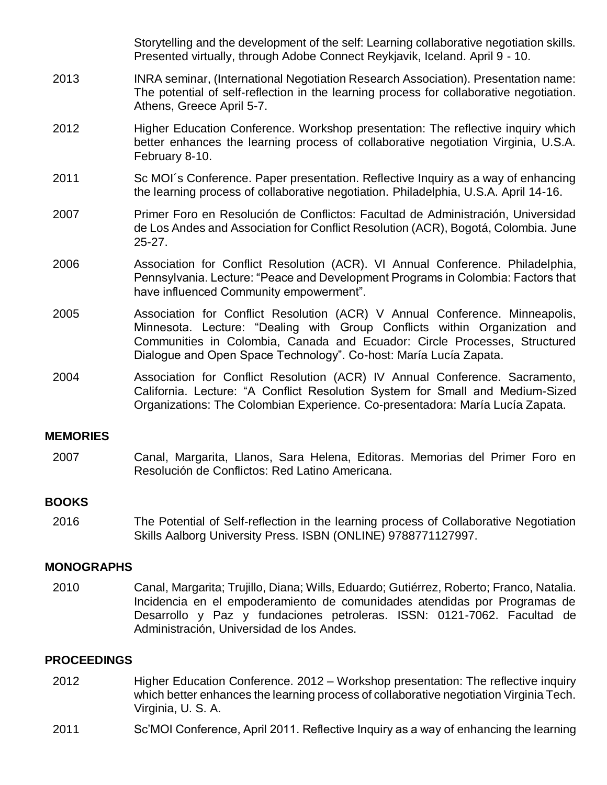Storytelling and the development of the self: Learning collaborative negotiation skills. Presented virtually, through Adobe Connect Reykjavik, Iceland. April 9 - 10. 2013 INRA seminar, (International Negotiation Research Association). Presentation name: The potential of self-reflection in the learning process for collaborative negotiation. Athens, Greece April 5-7. 2012 Higher Education Conference. Workshop presentation: The reflective inquiry which better enhances the learning process of collaborative negotiation Virginia, U.S.A. February 8-10. 2011 Sc MOI´s Conference. Paper presentation. Reflective Inquiry as a way of enhancing the learning process of collaborative negotiation. Philadelphia, U.S.A. April 14-16. 2007 Primer Foro en Resolución de Conflictos: Facultad de Administración, Universidad de Los Andes and Association for Conflict Resolution (ACR), Bogotá, Colombia. June 25-27. 2006 Association for Conflict Resolution (ACR). VI Annual Conference. Philadelphia, Pennsylvania. Lecture: "Peace and Development Programs in Colombia: Factors that have influenced Community empowerment". 2005 Association for Conflict Resolution (ACR) V Annual Conference. Minneapolis, Minnesota. Lecture: "Dealing with Group Conflicts within Organization and Communities in Colombia, Canada and Ecuador: Circle Processes, Structured Dialogue and Open Space Technology". Co-host: María Lucía Zapata. 2004 Association for Conflict Resolution (ACR) IV Annual Conference. Sacramento, California. Lecture: "A Conflict Resolution System for Small and Medium-Sized Organizations: The Colombian Experience. Co-presentadora: María Lucía Zapata.

### **MEMORIES**

2007 Canal, Margarita, Llanos, Sara Helena, Editoras. Memorias del Primer Foro en Resolución de Conflictos: Red Latino Americana.

# **BOOKS**

2016 The Potential of Self-reflection in the learning process of Collaborative Negotiation Skills Aalborg University Press. ISBN (ONLINE) 9788771127997.

### **MONOGRAPHS**

2010 Canal, Margarita; Trujillo, Diana; Wills, Eduardo; Gutiérrez, Roberto; Franco, Natalia. Incidencia en el empoderamiento de comunidades atendidas por Programas de Desarrollo y Paz y fundaciones petroleras. ISSN: 0121-7062. Facultad de Administración, Universidad de los Andes.

# **PROCEEDINGS**

- 2012 Higher Education Conference. 2012 Workshop presentation: The reflective inquiry which better enhances the learning process of collaborative negotiation Virginia Tech. Virginia, U. S. A.
- 2011 Sc'MOI Conference, April 2011. Reflective Inquiry as a way of enhancing the learning